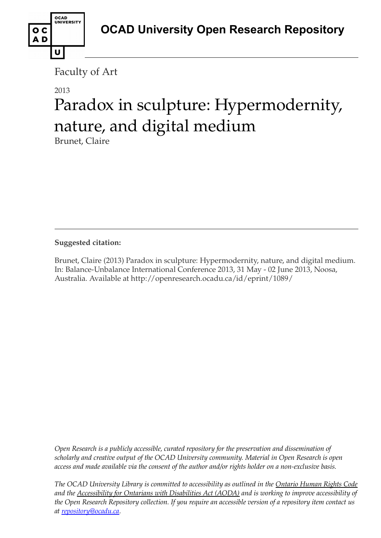Faculty of Art

## 2013

U

OCAD<br>UNIVERSITY

o c AD

# Paradox in sculpture: Hypermodernity, nature, and digital medium

Brunet, Claire

**Suggested citation:** 

Brunet, Claire (2013) Paradox in sculpture: Hypermodernity, nature, and digital medium. In: Balance-Unbalance International Conference 2013, 31 May - 02 June 2013, Noosa, Australia. Available at http://openresearch.ocadu.ca/id/eprint/1089/

*Open Research is a publicly accessible, curated repository for the preservation and dissemination of scholarly and creative output of the OCAD University community. Material in Open Research is open access and made available via the consent of the author and/or rights holder on a non-exclusive basis.* 

*The OCAD University Library is committed to accessibility as outlined in the Ontario Human Rights Code and the Accessibility for Ontarians with Disabilities Act (AODA) and is working to improve accessibility of the Open Research Repository collection. If you require an accessible version of a repository item contact us at [repository@ocadu.ca.](mailto:repository@ocadu.ca)*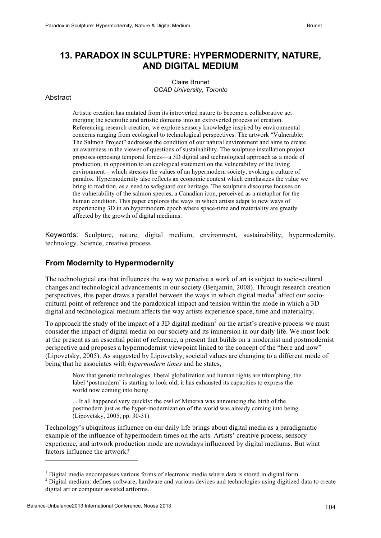### **13. PARADOX IN SCULPTURE: HYPERMODERNITY, NATURE, AND DIGITAL MEDIUM**

Claire Brunet *OCAD University, Toronto*

#### **Abstract**

Artistic creation has mutated from its introverted nature to become a collaborative act merging the scientific and artistic domains into an extroverted process of creation. Referencing research creation, we explore sensory knowledge inspired by environmental concerns ranging from ecological to technological perspectives. The artwork "Vulnerable: The Salmon Project" addresses the condition of our natural environment and aims to create an awareness in the viewer of questions of sustainability. The sculpture installation project proposes opposing temporal forces—a 3D digital and technological approach as a mode of production, in opposition to an ecological statement on the vulnerability of the living environment—which stresses the values of an hypermodern society, evoking a culture of paradox. Hypermodernity also reflects an economic context which emphasizes the value we bring to tradition, as a need to safeguard our heritage. The sculpture discourse focuses on the vulnerability of the salmon species, a Canadian icon, perceived as a metaphor for the human condition. This paper explores the ways in which artists adapt to new ways of experiencing 3D in an hypermodern epoch where space-time and materiality are greatly affected by the growth of digital mediums.

Keywords: Sculpture, nature, digital medium, environment, sustainability, hypermodernity, technology, Science, creative process

#### **From Modernity to Hypermodernity**

The technological era that influences the way we perceive a work of art is subject to socio-cultural changes and technological advancements in our society (Benjamin, 2008). Through research creation perspectives, this paper draws a parallel between the ways in which digital media<sup>1</sup> affect our sociocultural point of reference and the paradoxical impact and tension within the mode in which a 3D digital and technological medium affects the way artists experience space, time and materiality.

To approach the study of the impact of a 3D digital medium<sup>2</sup> on the artist's creative process we must consider the impact of digital media on our society and its immersion in our daily life. We must look at the present as an essential point of reference, a present that builds on a modernist and postmodernist perspective and proposes a hypermodernist viewpoint linked to the concept of the "here and now" (Lipovetsky, 2005). As suggested by Lipovetsky, societal values are changing to a different mode of being that he associates with *hypermodern times* and he states,

Now that genetic technologies, liberal globalization and human rights are triumphing, the label 'postmodern' is starting to look old; it has exhausted its capacities to express the world now coming into being.

... It all happened very quickly: the owl of Minerva was announcing the birth of the postmodern just as the hyper-modernization of the world was already coming into being. (Lipovetsky, 2005, pp. 30-31)

Technology's ubiquitous influence on our daily life brings about digital media as a paradigmatic example of the influence of hypermodern times on the arts. Artists' creative process, sensory experience, and artwork production mode are nowadays influenced by digital mediums. But what factors influence the artwork?

<sup>&</sup>lt;sup>1</sup> Digital media encompasses various forms of electronic media where data is stored in digital form.

<sup>&</sup>lt;sup>2</sup> Digital medium: defines software, hardware and various devices and technologies using digitized data to create digital art or computer assisted artforms.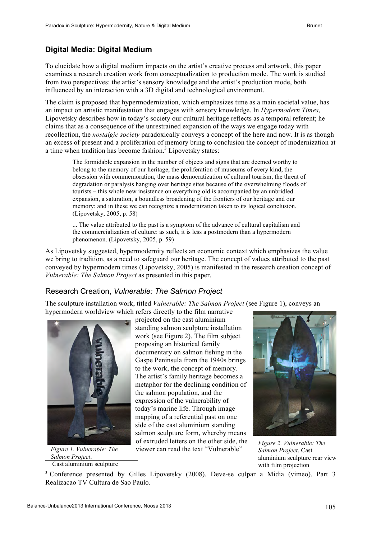### **Digital Media: Digital Medium**

To elucidate how a digital medium impacts on the artist's creative process and artwork, this paper examines a research creation work from conceptualization to production mode. The work is studied from two perspectives: the artist's sensory knowledge and the artist's production mode, both influenced by an interaction with a 3D digital and technological environment.

The claim is proposed that hypermodernization, which emphasizes time as a main societal value, has an impact on artistic manifestation that engages with sensory knowledge. In *Hypermodern Times*, Lipovetsky describes how in today's society our cultural heritage reflects as a temporal referent; he claims that as a consequence of the unrestrained expansion of the ways we engage today with recollection, the *nostalgic society* paradoxically conveys a concept of the here and now. It is as though an excess of present and a proliferation of memory bring to conclusion the concept of modernization at a time when tradition has become fashion.<sup>3</sup> Lipovetsky states:

The formidable expansion in the number of objects and signs that are deemed worthy to belong to the memory of our heritage, the proliferation of museums of every kind, the obsession with commemoration, the mass democratization of cultural tourism, the threat of degradation or paralysis hanging over heritage sites because of the overwhelming floods of tourists – this whole new insistence on everything old is accompanied by an unbridled expansion, a saturation, a boundless broadening of the frontiers of our heritage and our memory: and in these we can recognize a modernization taken to its logical conclusion. (Lipovetsky, 2005, p. 58)

... The value attributed to the past is a symptom of the advance of cultural capitalism and the commercialization of culture: as such, it is less a postmodern than a hypermodern phenomenon. (Lipovetsky, 2005, p. 59)

As Lipovetsky suggested, hypermodernity reflects an economic context which emphasizes the value we bring to tradition, as a need to safeguard our heritage. The concept of values attributed to the past conveyed by hypermodern times (Lipovetsky, 2005) is manifested in the research creation concept of *Vulnerable: The Salmon Project* as presented in this paper.

#### Research Creation, *Vulnerable: The Salmon Project*

The sculpture installation work, titled *Vulnerable: The Salmon Project* (see Figure 1), conveys an hypermodern worldview which refers directly to the film narrative



*Figure 1*. *Vulnerable: The Salmon Project*.

Cast aluminium sculpture

projected on the cast aluminium standing salmon sculpture installation work (see Figure 2). The film subject proposing an historical family documentary on salmon fishing in the Gaspe Peninsula from the 1940s brings to the work, the concept of memory. The artist's family heritage becomes a metaphor for the declining condition of the salmon population, and the expression of the vulnerability of today's marine life. Through image mapping of a referential past on one side of the cast aluminium standing salmon sculpture form, whereby means of extruded letters on the other side, the viewer can read the text "Vulnerable"



*Figure 2. Vulnerable: The Salmon Project*. Cast aluminium sculpture rear view with film projection

<sup>3</sup> Conference presented by Gilles Lipovetsky (2008). Deve-se culpar a Midia (vimeo). Part 3 Realizacao TV Cultura de Sao Paulo.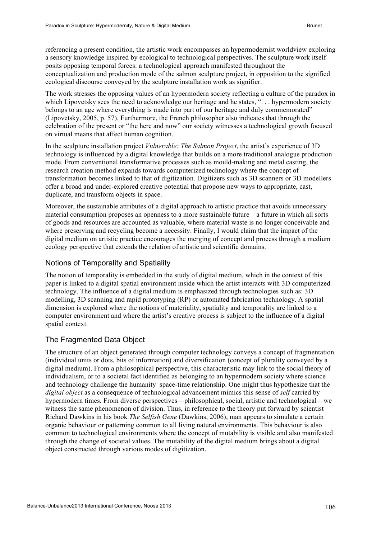referencing a present condition, the artistic work encompasses an hypermodernist worldview exploring a sensory knowledge inspired by ecological to technological perspectives. The sculpture work itself posits opposing temporal forces: a technological approach manifested throughout the conceptualization and production mode of the salmon sculpture project, in opposition to the signified ecological discourse conveyed by the sculpture installation work as signifier.

The work stresses the opposing values of an hypermodern society reflecting a culture of the paradox in which Lipovetsky sees the need to acknowledge our heritage and he states, "... hypermodern society belongs to an age where everything is made into part of our heritage and duly commemorated" (Lipovetsky, 2005, p. 57). Furthermore, the French philosopher also indicates that through the celebration of the present or "the here and now" our society witnesses a technological growth focused on virtual means that affect human cognition.

In the sculpture installation project *Vulnerable: The Salmon Project*, the artist's experience of 3D technology is influenced by a digital knowledge that builds on a more traditional analogue production mode. From conventional transformative processes such as mould-making and metal casting, the research creation method expands towards computerized technology where the concept of transformation becomes linked to that of digitization. Digitizers such as 3D scanners or 3D modellers offer a broad and under-explored creative potential that propose new ways to appropriate, cast, duplicate, and transform objects in space.

Moreover, the sustainable attributes of a digital approach to artistic practice that avoids unnecessary material consumption proposes an openness to a more sustainable future—a future in which all sorts of goods and resources are accounted as valuable, where material waste is no longer conceivable and where preserving and recycling become a necessity. Finally, I would claim that the impact of the digital medium on artistic practice encourages the merging of concept and process through a medium ecology perspective that extends the relation of artistic and scientific domains.

#### Notions of Temporality and Spatiality

The notion of temporality is embedded in the study of digital medium, which in the context of this paper is linked to a digital spatial environment inside which the artist interacts with 3D computerized technology. The influence of a digital medium is emphasized through technologies such as: 3D modelling, 3D scanning and rapid prototyping (RP) or automated fabrication technology. A spatial dimension is explored where the notions of materiality, spatiality and temporality are linked to a computer environment and where the artist's creative process is subject to the influence of a digital spatial context.

#### The Fragmented Data Object

The structure of an object generated through computer technology conveys a concept of fragmentation (individual units or dots, bits of information) and diversification (concept of plurality conveyed by a digital medium). From a philosophical perspective, this characteristic may link to the social theory of individualism, or to a societal fact identified as belonging to an hypermodern society where science and technology challenge the humanity–space-time relationship. One might thus hypothesize that the *digital object* as a consequence of technological advancement mimics this sense of *self* carried by hypermodern times. From diverse perspectives—philosophical, social, artistic and technological—we witness the same phenomenon of division. Thus, in reference to the theory put forward by scientist Richard Dawkins in his book *The Selfish Gene* (Dawkins, 2006), man appears to simulate a certain organic behaviour or patterning common to all living natural environments. This behaviour is also common to technological environments where the concept of mutability is visible and also manifested through the change of societal values. The mutability of the digital medium brings about a digital object constructed through various modes of digitization.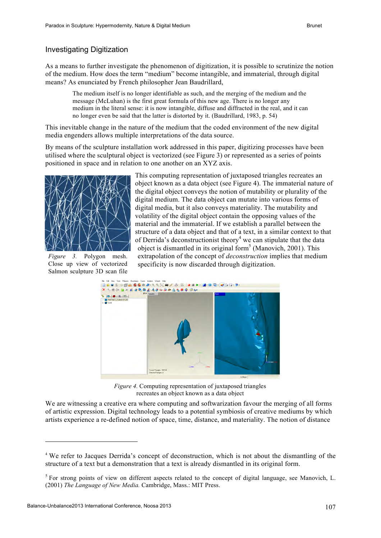#### Investigating Digitization

As a means to further investigate the phenomenon of digitization, it is possible to scrutinize the notion of the medium. How does the term "medium" become intangible, and immaterial, through digital means? As enunciated by French philosopher Jean Baudrillard,

The medium itself is no longer identifiable as such, and the merging of the medium and the message (McLuhan) is the first great formula of this new age. There is no longer any medium in the literal sense: it is now intangible, diffuse and diffracted in the real, and it can no longer even be said that the latter is distorted by it. (Baudrillard, 1983, p. 54)

This inevitable change in the nature of the medium that the coded environment of the new digital media engenders allows multiple interpretations of the data source.

By means of the sculpture installation work addressed in this paper, digitizing processes have been utilised where the sculptural object is vectorized (see Figure 3) or represented as a series of points positioned in space and in relation to one another on an XYZ axis.



*Figure 3.* Polygon mesh. Close up view of vectorized Salmon sculpture 3D scan file

This computing representation of juxtaposed triangles recreates an object known as a data object (see Figure 4). The immaterial nature of the digital object conveys the notion of mutability or plurality of the digital medium. The data object can mutate into various forms of digital media, but it also conveys materiality. The mutability and volatility of the digital object contain the opposing values of the material and the immaterial. If we establish a parallel between the structure of a data object and that of a text, in a similar context to that of Derrida's deconstructionist theory<sup>4</sup> we can stipulate that the data object is dismantled in its original form<sup>5</sup> (Manovich, 2001). This extrapolation of the concept of *deconstruction* implies that medium specificity is now discarded through digitization.



*Figure 4.* Computing representation of juxtaposed triangles recreates an object known as a data object

We are witnessing a creative era where computing and softwarization favour the merging of all forms of artistic expression. Digital technology leads to a potential symbiosis of creative mediums by which artists experience a re-defined notion of space, time, distance, and materiality. The notion of distance

 $\overline{a}$ 

<sup>4</sup> We refer to Jacques Derrida's concept of deconstruction, which is not about the dismantling of the structure of a text but a demonstration that a text is already dismantled in its original form.

<sup>&</sup>lt;sup>5</sup> For strong points of view on different aspects related to the concept of digital language, see Manovich, L. (2001) *The Language of New Media.* Cambridge, Mass.: MIT Press.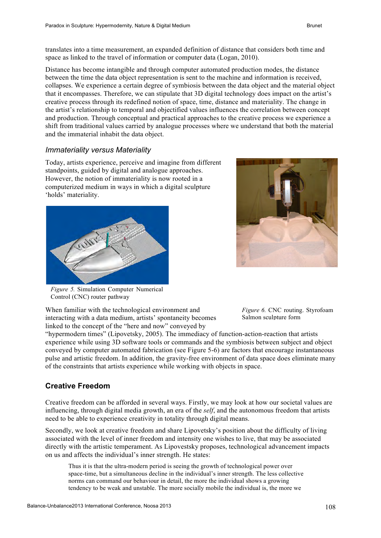translates into a time measurement, an expanded definition of distance that considers both time and space as linked to the travel of information or computer data (Logan, 2010).

Distance has become intangible and through computer automated production modes, the distance between the time the data object representation is sent to the machine and information is received, collapses. We experience a certain degree of symbiosis between the data object and the material object that it encompasses. Therefore, we can stipulate that 3D digital technology does impact on the artist's creative process through its redefined notion of space, time, distance and materiality. The change in the artist's relationship to temporal and objectified values influences the correlation between concept and production. Through conceptual and practical approaches to the creative process we experience a shift from traditional values carried by analogue processes where we understand that both the material and the immaterial inhabit the data object.

#### *Immateriality versus Materiality*

Today, artists experience, perceive and imagine from different standpoints, guided by digital and analogue approaches. However, the notion of immateriality is now rooted in a computerized medium in ways in which a digital sculpture 'holds' materiality.





*Figure 5.* Simulation Computer Numerical Control (CNC) router pathway

When familiar with the technological environment and interacting with a data medium, artists' spontaneity becomes linked to the concept of the "here and now" conveyed by

*Figure 6.* CNC routing. Styrofoam Salmon sculpture form

"hypermodern times" (Lipovetsky, 2005). The immediacy of function-action-reaction that artists experience while using 3D software tools or commands and the symbiosis between subject and object conveyed by computer automated fabrication (see Figure 5-6) are factors that encourage instantaneous pulse and artistic freedom. In addition, the gravity-free environment of data space does eliminate many of the constraints that artists experience while working with objects in space.

#### **Creative Freedom**

Creative freedom can be afforded in several ways. Firstly, we may look at how our societal values are influencing, through digital media growth, an era of the *self*, and the autonomous freedom that artists need to be able to experience creativity in totality through digital means.

Secondly, we look at creative freedom and share Lipovetsky's position about the difficulty of living associated with the level of inner freedom and intensity one wishes to live, that may be associated directly with the artistic temperament. As Lipovestsky proposes, technological advancement impacts on us and affects the individual's inner strength. He states:

Thus it is that the ultra-modern period is seeing the growth of technological power over space-time, but a simultaneous decline in the individual's inner strength. The less collective norms can command our behaviour in detail, the more the individual shows a growing tendency to be weak and unstable. The more socially mobile the individual is, the more we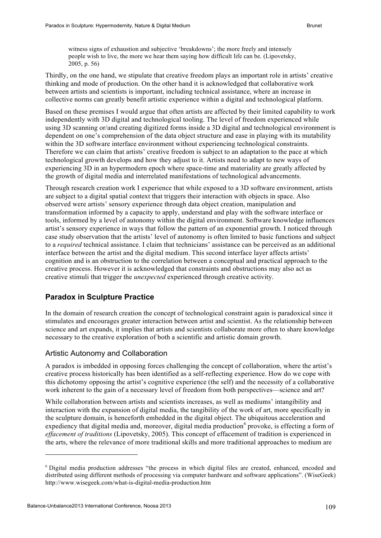witness signs of exhaustion and subjective 'breakdowns'; the more freely and intensely people wish to live, the more we hear them saying how difficult life can be. (Lipovetsky, 2005, p. 56)

Thirdly, on the one hand, we stipulate that creative freedom plays an important role in artists' creative thinking and mode of production. On the other hand it is acknowledged that collaborative work between artists and scientists is important, including technical assistance, where an increase in collective norms can greatly benefit artistic experience within a digital and technological platform.

Based on these premises I would argue that often artists are affected by their limited capability to work independently with 3D digital and technological tooling. The level of freedom experienced while using 3D scanning or/and creating digitized forms inside a 3D digital and technological environment is dependent on one's comprehension of the data object structure and ease in playing with its mutability within the 3D software interface environment without experiencing technological constraints. Therefore we can claim that artists' creative freedom is subject to an adaptation to the pace at which technological growth develops and how they adjust to it. Artists need to adapt to new ways of experiencing 3D in an hypermodern epoch where space-time and materiality are greatly affected by the growth of digital media and interrelated manifestations of technological advancements.

Through research creation work I experience that while exposed to a 3D software environment, artists are subject to a digital spatial context that triggers their interaction with objects in space. Also observed were artists' sensory experience through data object creation, manipulation and transformation informed by a capacity to apply, understand and play with the software interface or tools, informed by a level of autonomy within the digital environment. Software knowledge influences artist's sensory experience in ways that follow the pattern of an exponential growth. I noticed through case study observation that the artists' level of autonomy is often limited to basic functions and subject to a *required* technical assistance. I claim that technicians' assistance can be perceived as an additional interface between the artist and the digital medium. This second interface layer affects artists' cognition and is an obstruction to the correlation between a conceptual and practical approach to the creative process. However it is acknowledged that constraints and obstructions may also act as creative stimuli that trigger the *unexpected* experienced through creative activity.

#### **Paradox in Sculpture Practice**

In the domain of research creation the concept of technological constraint again is paradoxical since it stimulates and encourages greater interaction between artist and scientist. As the relationship between science and art expands, it implies that artists and scientists collaborate more often to share knowledge necessary to the creative exploration of both a scientific and artistic domain growth.

#### Artistic Autonomy and Collaboration

A paradox is imbedded in opposing forces challenging the concept of collaboration, where the artist's creative process historically has been identified as a self-reflecting experience. How do we cope with this dichotomy opposing the artist's cognitive experience (the self) and the necessity of a collaborative work inherent to the gain of a necessary level of freedom from both perspectives—science and art?

While collaboration between artists and scientists increases, as well as mediums' intangibility and interaction with the expansion of digital media, the tangibility of the work of art, more specifically in the sculpture domain, is henceforth embedded in the digital object. The ubiquitous acceleration and expediency that digital media and, moreover, digital media production<sup>6</sup> provoke, is effecting a form of *effacement of traditions* (Lipovetsky, 2005). This concept of effacement of tradition is experienced in the arts, where the relevance of more traditional skills and more traditional approaches to medium are

<sup>6</sup> Digital media production addresses "the process in which digital files are created, enhanced, encoded and distributed using different methods of processing via computer hardware and software applications". (WiseGeek) http://www.wisegeek.com/what-is-digital-media-production.htm